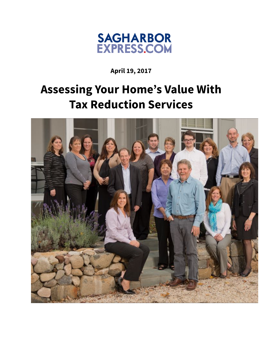

**April 19, 2017**

## **Assessing Your Home's Value With Tax Reduction Services**

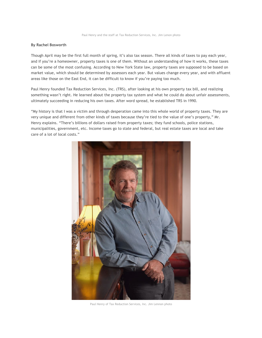## **By Rachel Bosworth**

Though April may be the first full month of spring, it's also tax season. There all kinds of taxes to pay each year, and if you're a homeowner, property taxes is one of them. Without an understanding of how it works, these taxes can be some of the most confusing. According to New York State law, property taxes are supposed to be based on market value, which should be determined by assessors each year. But values change every year, and with affluent areas like those on the East End, it can be difficult to know if you're paying too much.

Paul Henry founded Tax Reduction Services, Inc. (TRS), after looking at his own property tax bill, and realizing something wasn't right. He learned about the property tax system and what he could do about unfair assessments, ultimately succeeding in reducing his own taxes. After word spread, he established TRS in 1990.

"My history is that I was a victim and through desperation came into this whole world of property taxes. They are very unique and different from other kinds of taxes because they're tied to the value of one's property," Mr. Henry explains. "There's billions of dollars raised from property taxes; they fund schools, police stations, municipalities, government, etc. Income taxes go to state and federal, but real estate taxes are local and take care of a lot of local costs."



Paul Henry of Tax Reduction Services, Inc. Jim Lennon photo